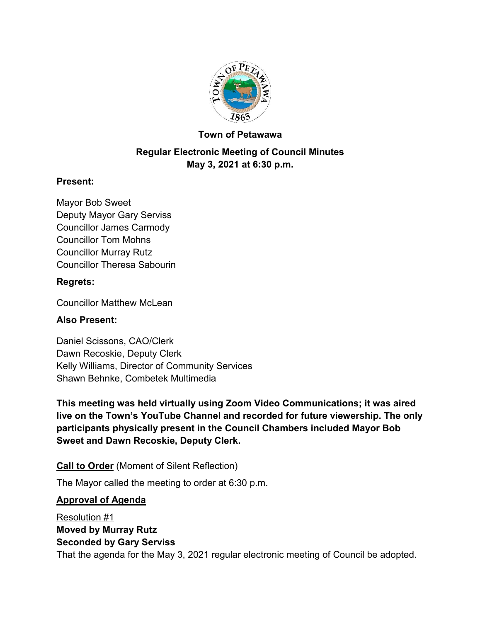

## **Town of Petawawa**

# **Regular Electronic Meeting of Council Minutes May 3, 2021 at 6:30 p.m.**

## **Present:**

Mayor Bob Sweet Deputy Mayor Gary Serviss Councillor James Carmody Councillor Tom Mohns Councillor Murray Rutz Councillor Theresa Sabourin

## **Regrets:**

Councillor Matthew McLean

## **Also Present:**

Daniel Scissons, CAO/Clerk Dawn Recoskie, Deputy Clerk Kelly Williams, Director of Community Services Shawn Behnke, Combetek Multimedia

**This meeting was held virtually using Zoom Video Communications; it was aired live on the Town's YouTube Channel and recorded for future viewership. The only participants physically present in the Council Chambers included Mayor Bob Sweet and Dawn Recoskie, Deputy Clerk.**

**Call to Order** (Moment of Silent Reflection)

The Mayor called the meeting to order at 6:30 p.m.

## **Approval of Agenda**

Resolution #1 **Moved by Murray Rutz Seconded by Gary Serviss** That the agenda for the May 3, 2021 regular electronic meeting of Council be adopted.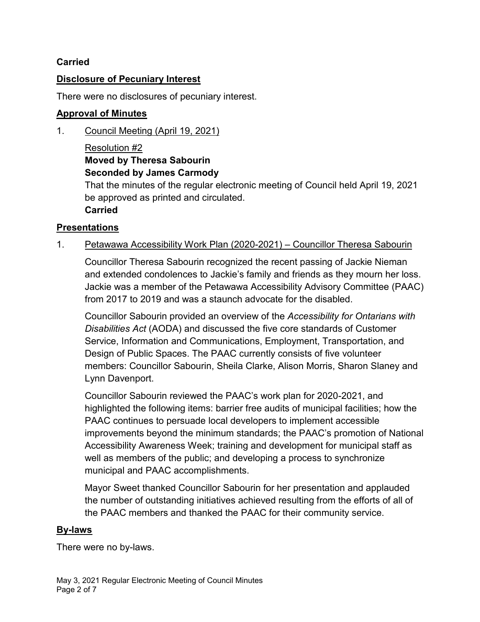## **Carried**

#### **Disclosure of Pecuniary Interest**

There were no disclosures of pecuniary interest.

## **Approval of Minutes**

1. Council Meeting (April 19, 2021)

## Resolution #2 **Moved by Theresa Sabourin Seconded by James Carmody**

That the minutes of the regular electronic meeting of Council held April 19, 2021 be approved as printed and circulated. **Carried**

## **Presentations**

1. Petawawa Accessibility Work Plan (2020-2021) – Councillor Theresa Sabourin

Councillor Theresa Sabourin recognized the recent passing of Jackie Nieman and extended condolences to Jackie's family and friends as they mourn her loss. Jackie was a member of the Petawawa Accessibility Advisory Committee (PAAC) from 2017 to 2019 and was a staunch advocate for the disabled.

Councillor Sabourin provided an overview of the *Accessibility for Ontarians with Disabilities Act* (AODA) and discussed the five core standards of Customer Service, Information and Communications, Employment, Transportation, and Design of Public Spaces. The PAAC currently consists of five volunteer members: Councillor Sabourin, Sheila Clarke, Alison Morris, Sharon Slaney and Lynn Davenport.

Councillor Sabourin reviewed the PAAC's work plan for 2020-2021, and highlighted the following items: barrier free audits of municipal facilities; how the PAAC continues to persuade local developers to implement accessible improvements beyond the minimum standards; the PAAC's promotion of National Accessibility Awareness Week; training and development for municipal staff as well as members of the public; and developing a process to synchronize municipal and PAAC accomplishments.

Mayor Sweet thanked Councillor Sabourin for her presentation and applauded the number of outstanding initiatives achieved resulting from the efforts of all of the PAAC members and thanked the PAAC for their community service.

## **By-laws**

There were no by-laws.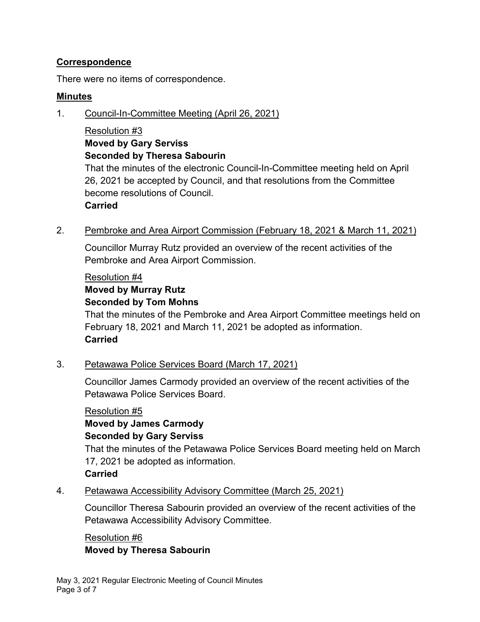## **Correspondence**

There were no items of correspondence.

#### **Minutes**

1. Council-In-Committee Meeting (April 26, 2021)

#### Resolution #3 **Moved by Gary Serviss Seconded by Theresa Sabourin**

That the minutes of the electronic Council-In-Committee meeting held on April 26, 2021 be accepted by Council, and that resolutions from the Committee become resolutions of Council.

#### **Carried**

2. Pembroke and Area Airport Commission (February 18, 2021 & March 11, 2021)

Councillor Murray Rutz provided an overview of the recent activities of the Pembroke and Area Airport Commission.

#### Resolution #4

# **Moved by Murray Rutz**

#### **Seconded by Tom Mohns**

That the minutes of the Pembroke and Area Airport Committee meetings held on February 18, 2021 and March 11, 2021 be adopted as information. **Carried**

## 3. Petawawa Police Services Board (March 17, 2021)

Councillor James Carmody provided an overview of the recent activities of the Petawawa Police Services Board.

Resolution #5 **Moved by James Carmody Seconded by Gary Serviss**

That the minutes of the Petawawa Police Services Board meeting held on March 17, 2021 be adopted as information.

## **Carried**

4. Petawawa Accessibility Advisory Committee (March 25, 2021)

Councillor Theresa Sabourin provided an overview of the recent activities of the Petawawa Accessibility Advisory Committee.

## Resolution #6 **Moved by Theresa Sabourin**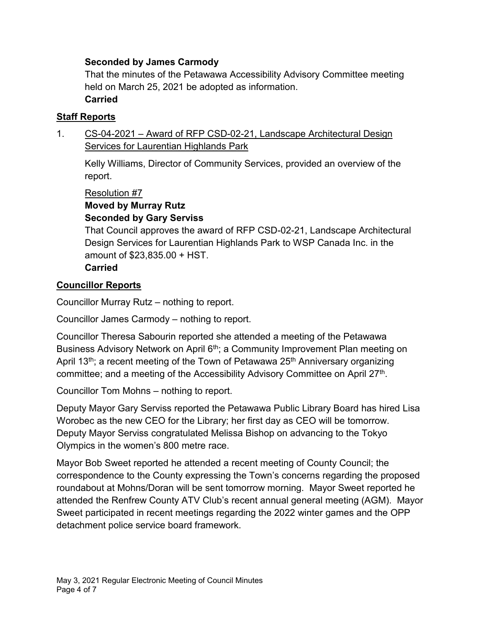## **Seconded by James Carmody**

That the minutes of the Petawawa Accessibility Advisory Committee meeting held on March 25, 2021 be adopted as information.

## **Carried**

## **Staff Reports**

1. CS-04-2021 – Award of RFP CSD-02-21, Landscape Architectural Design **Services for Laurentian Highlands Park** 

Kelly Williams, Director of Community Services, provided an overview of the report.

Resolution #7

**Moved by Murray Rutz**

## **Seconded by Gary Serviss**

That Council approves the award of RFP CSD-02-21, Landscape Architectural Design Services for Laurentian Highlands Park to WSP Canada Inc. in the amount of \$23,835.00 + HST.

## **Carried**

## **Councillor Reports**

Councillor Murray Rutz – nothing to report.

Councillor James Carmody – nothing to report.

Councillor Theresa Sabourin reported she attended a meeting of the Petawawa Business Advisory Network on April 6<sup>th</sup>; a Community Improvement Plan meeting on April 13<sup>th</sup>; a recent meeting of the Town of Petawawa 25<sup>th</sup> Anniversary organizing committee; and a meeting of the Accessibility Advisory Committee on April 27<sup>th</sup>.

Councillor Tom Mohns – nothing to report.

Deputy Mayor Gary Serviss reported the Petawawa Public Library Board has hired Lisa Worobec as the new CEO for the Library; her first day as CEO will be tomorrow. Deputy Mayor Serviss congratulated Melissa Bishop on advancing to the Tokyo Olympics in the women's 800 metre race.

Mayor Bob Sweet reported he attended a recent meeting of County Council; the correspondence to the County expressing the Town's concerns regarding the proposed roundabout at Mohns/Doran will be sent tomorrow morning. Mayor Sweet reported he attended the Renfrew County ATV Club's recent annual general meeting (AGM). Mayor Sweet participated in recent meetings regarding the 2022 winter games and the OPP detachment police service board framework.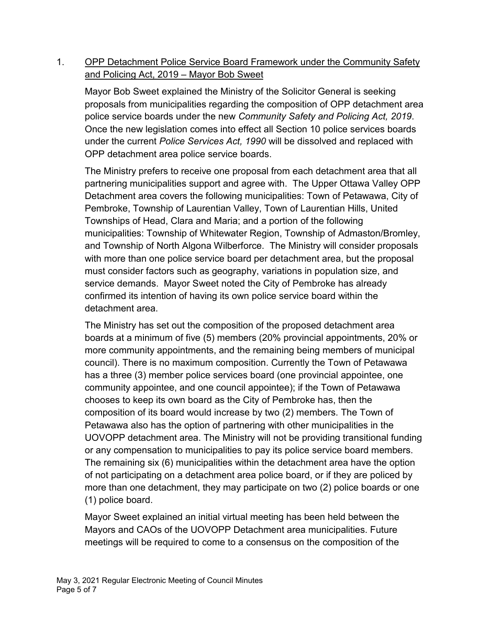## 1. OPP Detachment Police Service Board Framework under the Community Safety and Policing Act, 2019 – Mayor Bob Sweet

Mayor Bob Sweet explained the Ministry of the Solicitor General is seeking proposals from municipalities regarding the composition of OPP detachment area police service boards under the new *Community Safety and Policing Act, 2019*. Once the new legislation comes into effect all Section 10 police services boards under the current *Police Services Act, 1990* will be dissolved and replaced with OPP detachment area police service boards.

The Ministry prefers to receive one proposal from each detachment area that all partnering municipalities support and agree with. The Upper Ottawa Valley OPP Detachment area covers the following municipalities: Town of Petawawa, City of Pembroke, Township of Laurentian Valley, Town of Laurentian Hills, United Townships of Head, Clara and Maria; and a portion of the following municipalities: Township of Whitewater Region, Township of Admaston/Bromley, and Township of North Algona Wilberforce. The Ministry will consider proposals with more than one police service board per detachment area, but the proposal must consider factors such as geography, variations in population size, and service demands. Mayor Sweet noted the City of Pembroke has already confirmed its intention of having its own police service board within the detachment area.

The Ministry has set out the composition of the proposed detachment area boards at a minimum of five (5) members (20% provincial appointments, 20% or more community appointments, and the remaining being members of municipal council). There is no maximum composition. Currently the Town of Petawawa has a three (3) member police services board (one provincial appointee, one community appointee, and one council appointee); if the Town of Petawawa chooses to keep its own board as the City of Pembroke has, then the composition of its board would increase by two (2) members. The Town of Petawawa also has the option of partnering with other municipalities in the UOVOPP detachment area. The Ministry will not be providing transitional funding or any compensation to municipalities to pay its police service board members. The remaining six (6) municipalities within the detachment area have the option of not participating on a detachment area police board, or if they are policed by more than one detachment, they may participate on two (2) police boards or one (1) police board.

Mayor Sweet explained an initial virtual meeting has been held between the Mayors and CAOs of the UOVOPP Detachment area municipalities. Future meetings will be required to come to a consensus on the composition of the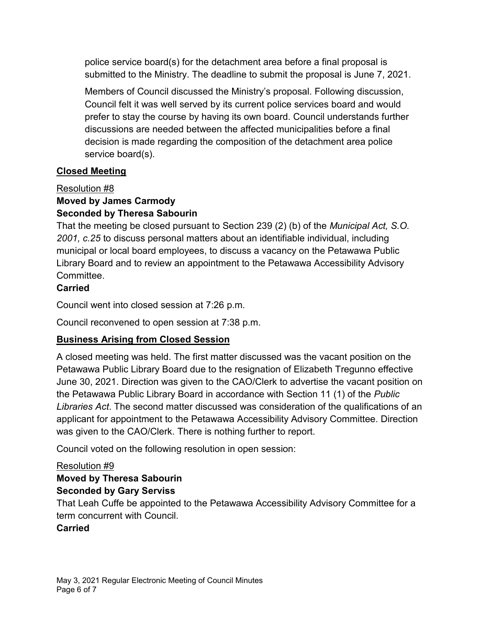police service board(s) for the detachment area before a final proposal is submitted to the Ministry. The deadline to submit the proposal is June 7, 2021.

Members of Council discussed the Ministry's proposal. Following discussion, Council felt it was well served by its current police services board and would prefer to stay the course by having its own board. Council understands further discussions are needed between the affected municipalities before a final decision is made regarding the composition of the detachment area police service board(s).

## **Closed Meeting**

## Resolution #8

# **Moved by James Carmody**

# **Seconded by Theresa Sabourin**

That the meeting be closed pursuant to Section 239 (2) (b) of the *Municipal Act, S.O. 2001, c.25* to discuss personal matters about an identifiable individual, including municipal or local board employees, to discuss a vacancy on the Petawawa Public Library Board and to review an appointment to the Petawawa Accessibility Advisory **Committee** 

## **Carried**

Council went into closed session at 7:26 p.m.

Council reconvened to open session at 7:38 p.m.

# **Business Arising from Closed Session**

A closed meeting was held. The first matter discussed was the vacant position on the Petawawa Public Library Board due to the resignation of Elizabeth Tregunno effective June 30, 2021. Direction was given to the CAO/Clerk to advertise the vacant position on the Petawawa Public Library Board in accordance with Section 11 (1) of the *Public Libraries Act*. The second matter discussed was consideration of the qualifications of an applicant for appointment to the Petawawa Accessibility Advisory Committee. Direction was given to the CAO/Clerk. There is nothing further to report.

Council voted on the following resolution in open session:

## Resolution #9

## **Moved by Theresa Sabourin Seconded by Gary Serviss**

That Leah Cuffe be appointed to the Petawawa Accessibility Advisory Committee for a term concurrent with Council.

## **Carried**